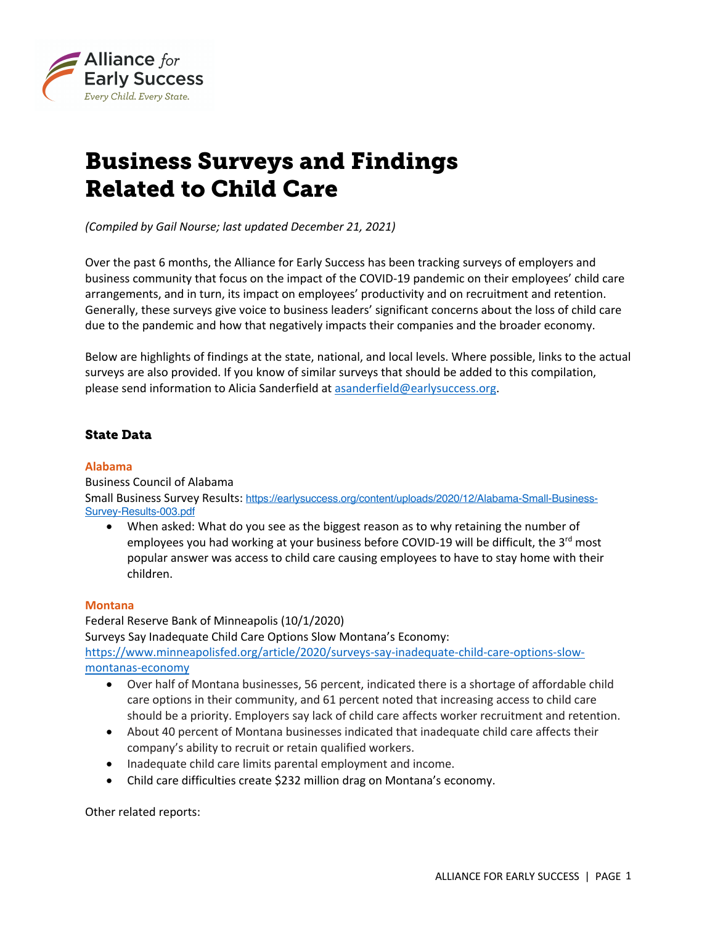

# Business Surveys and Findings Related to Child Care

*(Compiled by Gail Nourse; last updated December 21, 2021)*

Over the past 6 months, the Alliance for Early Success has been tracking surveys of employers and business community that focus on the impact of the COVID-19 pandemic on their employees' child care arrangements, and in turn, its impact on employees' productivity and on recruitment and retention. Generally, these surveys give voice to business leaders' significant concerns about the loss of child care due to the pandemic and how that negatively impacts their companies and the broader economy.

Below are highlights of findings at the state, national, and local levels. Where possible, links to the actual surveys are also provided. If you know of similar surveys that should be added to this compilation, please send information to Alicia Sanderfield at [asanderfield@earlysuccess.org](mailto:asanderfield@earlysuccess.org).

## State Data

#### **Alabama**

Business Council of Alabama Small Business Survey Results: [https://earlysuccess.org/content/uploads/2020/12/Alabama-Small-Business](https://earlysuccess.org/content/uploads/2020/12/Alabama-Small-Business-Survey-Results-003.pdf)-[Survey-Results-003.pdf](https://earlysuccess.org/content/uploads/2020/12/Alabama-Small-Business-Survey-Results-003.pdf)

• When asked: What do you see as the biggest reason as to why retaining the number of employees you had working at your business before COVID-19 will be difficult, the  $3<sup>rd</sup>$  most popular answer was access to child care causing employees to have to stay home with their children.

#### **Montana**

Federal Reserve Bank of Minneapolis (10/1/2020) Surveys Say Inadequate Child Care Options Slow Montana's Economy: [https://www.minneapolisfed.org/article/2020/surveys-say-inadequate-child-care-options-slow](https://www.minneapolisfed.org/article/2020/surveys-say-inadequate-child-care-options-slow-montanas-economy)[montanas-economy](https://www.minneapolisfed.org/article/2020/surveys-say-inadequate-child-care-options-slow-montanas-economy)

- Over half of Montana businesses, 56 percent, indicated there is a shortage of affordable child care options in their community, and 61 percent noted that increasing access to child care should be a priority. Employers say lack of child care affects worker recruitment and retention.
- About 40 percent of Montana businesses indicated that inadequate child care affects their company's ability to recruit or retain qualified workers.
- Inadequate child care limits parental employment and income.
- Child care difficulties create \$232 million drag on Montana's economy.

Other related reports: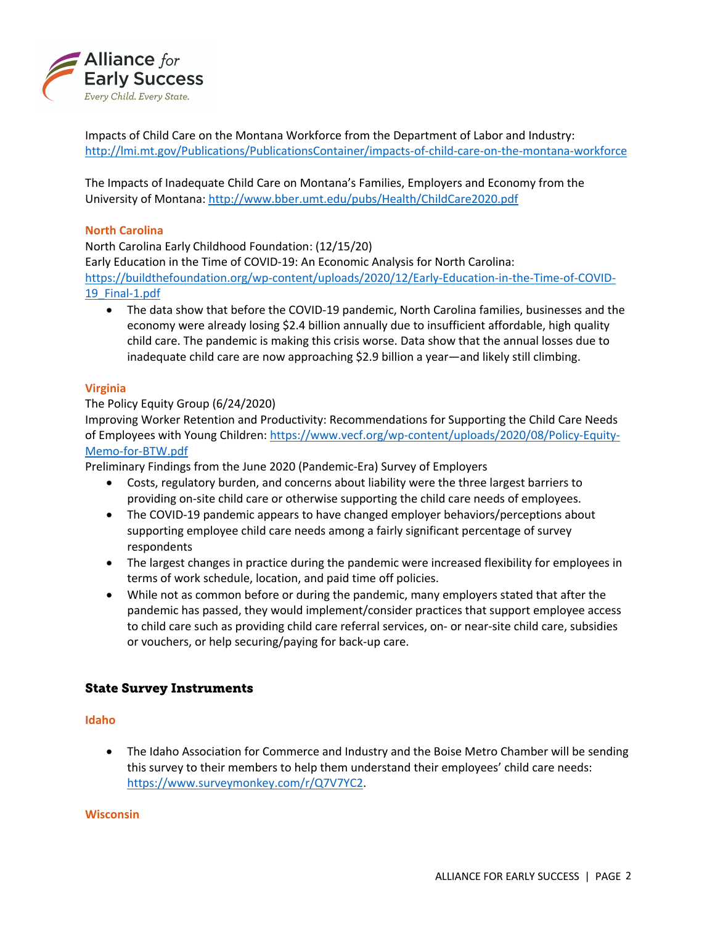

Impacts of Child Care on the Montana Workforce from the Department of Labor and Industry: <http://lmi.mt.gov/Publications/PublicationsContainer/impacts-of-child-care-on-the-montana-workforce>

The Impacts of Inadequate Child Care on Montana's Families, Employers and Economy from the University of Montana:<http://www.bber.umt.edu/pubs/Health/ChildCare2020.pdf>

#### **North Carolina**

North Carolina Early Childhood Foundation: (12/15/20) Early Education in the Time of COVID-19: An Economic Analysis for North Carolina: [https://buildthefoundation.org/wp-content/uploads/2020/12/Early-Education-in-the-Time-of-COVID](https://buildthefoundation.org/wp-content/uploads/2020/12/Early-Education-in-the-Time-of-COVID-19_Final-1.pdf)-[19\\_Final-1.pdf](https://buildthefoundation.org/wp-content/uploads/2020/12/Early-Education-in-the-Time-of-COVID-19_Final-1.pdf)

• The data show that before the COVID-19 pandemic, North Carolina families, businesses and the economy were already losing \$2.4 billion annually due to insufficient affordable, high quality child care. The pandemic is making this crisis worse. Data show that the annual losses due to inadequate child care are now approaching \$2.9 billion a year—and likely still climbing.

### **Virginia**

### The Policy Equity Group (6/24/2020)

Improving Worker Retention and Productivity: Recommendations for Supporting the Child Care Needs of Employees with Young Children: [https://www.vecf.org/wp-content/uploads/2020/08/Policy-Equity](https://www.vecf.org/wp-content/uploads/2020/08/Policy-Equity-Memo-for-BTW.pdf)-[Memo-for-BTW.pdf](https://www.vecf.org/wp-content/uploads/2020/08/Policy-Equity-Memo-for-BTW.pdf)

Preliminary Findings from the June 2020 (Pandemic-Era) Survey of Employers

- Costs, regulatory burden, and concerns about liability were the three largest barriers to providing on-site child care or otherwise supporting the child care needs of employees.
- The COVID-19 pandemic appears to have changed employer behaviors/perceptions about supporting employee child care needs among a fairly significant percentage of survey respondents
- The largest changes in practice during the pandemic were increased flexibility for employees in terms of work schedule, location, and paid time off policies.
- While not as common before or during the pandemic, many employers stated that after the pandemic has passed, they would implement/consider practices that support employee access to child care such as providing child care referral services, on- or near-site child care, subsidies or vouchers, or help securing/paying for back-up care.

## State Survey Instruments

#### **Idaho**

• The Idaho Association for Commerce and Industry and the Boise Metro Chamber will be sending this survey to their members to help them understand their employees' child care needs: <https://www.surveymonkey.com/r/Q7V7YC2>.

#### **Wisconsin**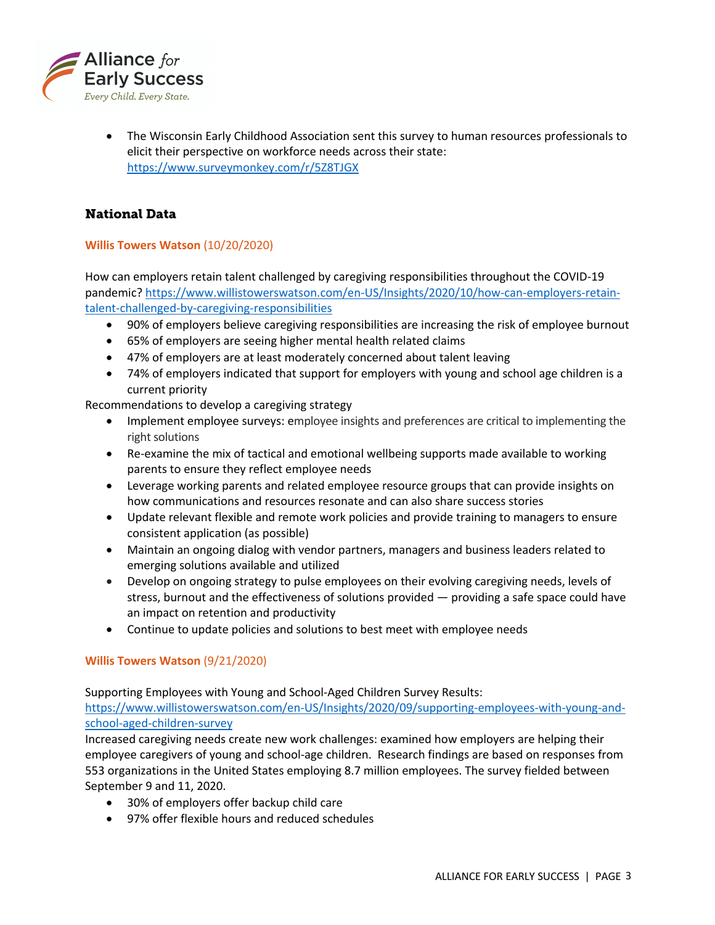

• The Wisconsin Early Childhood Association sent this survey to human resources professionals to elicit their perspective on workforce needs across their state: <https://www.surveymonkey.com/r/5Z8TJGX>

## National Data

### **Willis Towers Watson** (10/20/2020)

How can employers retain talent challenged by caregiving responsibilities throughout the COVID-19 pandemic? [https://www.willistowerswatson.com/en-US/Insights/2020/10/how-can-employers-retain](https://www.willistowerswatson.com/en-US/Insights/2020/10/how-can-employers-retain-talent-challenged-by-caregiving-responsibilities)[talent-challenged-by-caregiving-responsibilities](https://www.willistowerswatson.com/en-US/Insights/2020/10/how-can-employers-retain-talent-challenged-by-caregiving-responsibilities)

- 90% of employers believe caregiving responsibilities are increasing the risk of employee burnout
- 65% of employers are seeing higher mental health related claims
- 47% of employers are at least moderately concerned about talent leaving
- 74% of employers indicated that support for employers with young and school age children is a current priority

Recommendations to develop a caregiving strategy

- Implement employee surveys: employee insights and preferences are critical to implementing the right solutions
- Re-examine the mix of tactical and emotional wellbeing supports made available to working parents to ensure they reflect employee needs
- Leverage working parents and related employee resource groups that can provide insights on how communications and resources resonate and can also share success stories
- Update relevant flexible and remote work policies and provide training to managers to ensure consistent application (as possible)
- Maintain an ongoing dialog with vendor partners, managers and business leaders related to emerging solutions available and utilized
- Develop on ongoing strategy to pulse employees on their evolving caregiving needs, levels of stress, burnout and the effectiveness of solutions provided — providing a safe space could have an impact on retention and productivity
- Continue to update policies and solutions to best meet with employee needs

#### **Willis Towers Watson** (9/21/2020)

Supporting Employees with Young and School-Aged Children Survey Results:

[https://www.willistowerswatson.com/en-US/Insights/2020/09/supporting-employees-with-young-and](https://www.willistowerswatson.com/en-US/Insights/2020/09/supporting-employees-with-young-and-school-aged-children-survey)[school-aged-children-survey](https://www.willistowerswatson.com/en-US/Insights/2020/09/supporting-employees-with-young-and-school-aged-children-survey)

Increased caregiving needs create new work challenges: examined how employers are helping their employee caregivers of young and school-age children. Research findings are based on responses from 553 organizations in the United States employing 8.7 million employees. The survey fielded between September 9 and 11, 2020.

- 30% of employers offer backup child care
- 97% offer flexible hours and reduced schedules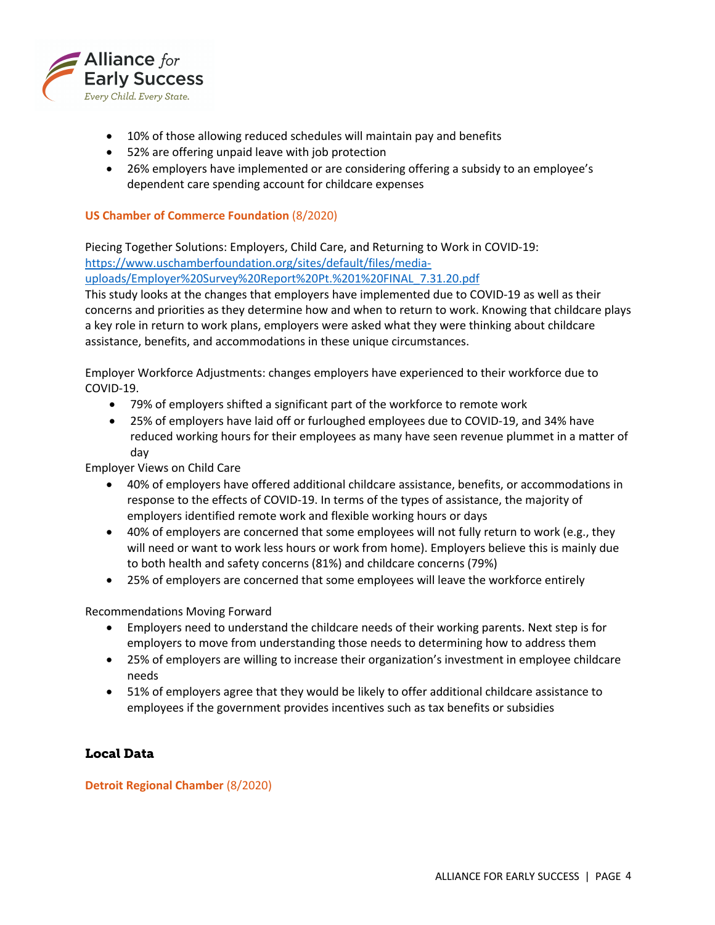

- 10% of those allowing reduced schedules will maintain pay and benefits
- 52% are offering unpaid leave with job protection
- 26% employers have implemented or are considering offering a subsidy to an employee's dependent care spending account for childcare expenses

#### **US Chamber of Commerce Foundation** (8/2020)

Piecing Together Solutions: Employers, Child Care, and Returning to Work in COVID-19: [https://www.uschamberfoundation.org/sites/default/files/media](https://www.uschamberfoundation.org/sites/default/files/media-uploads/Employer Survey Report Pt. 1 FINAL_7.31.20.pdf)-

[uploads/Employer%20Survey%20Report%20Pt.%201%20FINAL\\_7.31.20.pdf](https://www.uschamberfoundation.org/sites/default/files/media-uploads/Employer Survey Report Pt. 1 FINAL_7.31.20.pdf)

This study looks at the changes that employers have implemented due to COVID-19 as well as their concerns and priorities as they determine how and when to return to work. Knowing that childcare plays a key role in return to work plans, employers were asked what they were thinking about childcare assistance, benefits, and accommodations in these unique circumstances.

Employer Workforce Adjustments: changes employers have experienced to their workforce due to COVID-19.

- 79% of employers shifted a significant part of the workforce to remote work
- 25% of employers have laid off or furloughed employees due to COVID-19, and 34% have reduced working hours for their employees as many have seen revenue plummet in a matter of day

Employer Views on Child Care

- 40% of employers have offered additional childcare assistance, benefits, or accommodations in response to the effects of COVID-19. In terms of the types of assistance, the majority of employers identified remote work and flexible working hours or days
- 40% of employers are concerned that some employees will not fully return to work (e.g., they will need or want to work less hours or work from home). Employers believe this is mainly due to both health and safety concerns (81%) and childcare concerns (79%)
- 25% of employers are concerned that some employees will leave the workforce entirely

Recommendations Moving Forward

- Employers need to understand the childcare needs of their working parents. Next step is for employers to move from understanding those needs to determining how to address them
- 25% of employers are willing to increase their organization's investment in employee childcare needs
- 51% of employers agree that they would be likely to offer additional childcare assistance to employees if the government provides incentives such as tax benefits or subsidies

## Local Data

**Detroit Regional Chamber** (8/2020)